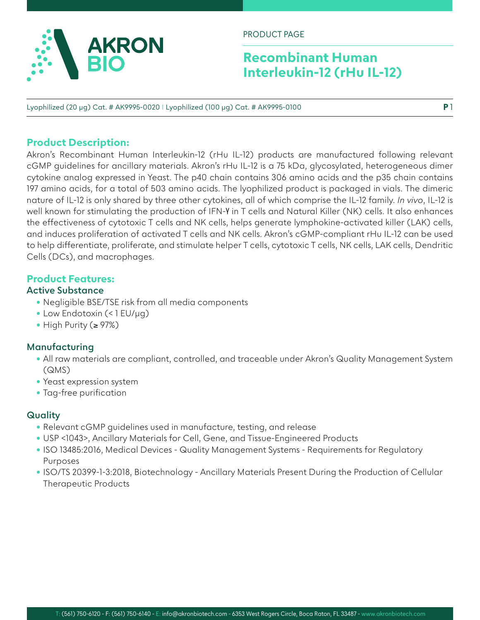

PRODUCT PAGE

## **Recombinant Human Interleukin-12 (rHu IL-12)**

**P** 1

Lyophilized (20 µg) Cat. # AK9995-0020 I Lyophilized (100 µg) Cat. # AK9995-0100

### **Product Description:**

Akron's Recombinant Human Interleukin-12 (rHu IL-12) products are manufactured following relevant cGMP guidelines for ancillary materials. Akron's rHu IL-12 is a 75 kDa, glycosylated, heterogeneous dimer cytokine analog expressed in Yeast. The p40 chain contains 306 amino acids and the p35 chain contains 197 amino acids, for a total of 503 amino acids. The lyophilized product is packaged in vials. The dimeric nature of IL-12 is only shared by three other cytokines, all of which comprise the IL-12 family. *In vivo*, IL-12 is well known for stimulating the production of IFN-γ in T cells and Natural Killer (NK) cells. It also enhances the effectiveness of cytotoxic T cells and NK cells, helps generate lymphokine-activated killer (LAK) cells, and induces proliferation of activated T cells and NK cells. Akron's cGMP-compliant rHu IL-12 can be used to help differentiate, proliferate, and stimulate helper T cells, cytotoxic T cells, NK cells, LAK cells, Dendritic Cells (DCs), and macrophages.

### **Product Features:**

### **Active Substance**

- Negligible BSE/TSE risk from all media components
- Low Endotoxin (< 1 EU/µg)
- High Purity (≥ 97%)

### **Manufacturing**

- All raw materials are compliant, controlled, and traceable under Akron's Quality Management System (QMS)
- Yeast expression system
- Tag-free purification

### **Quality**

- Relevant cGMP guidelines used in manufacture, testing, and release
- USP <1043>, Ancillary Materials for Cell, Gene, and Tissue-Engineered Products
- ISO 13485:2016, Medical Devices Quality Management Systems Requirements for Regulatory Purposes
- ISO/TS 20399-1-3:2018, Biotechnology Ancillary Materials Present During the Production of Cellular Therapeutic Products